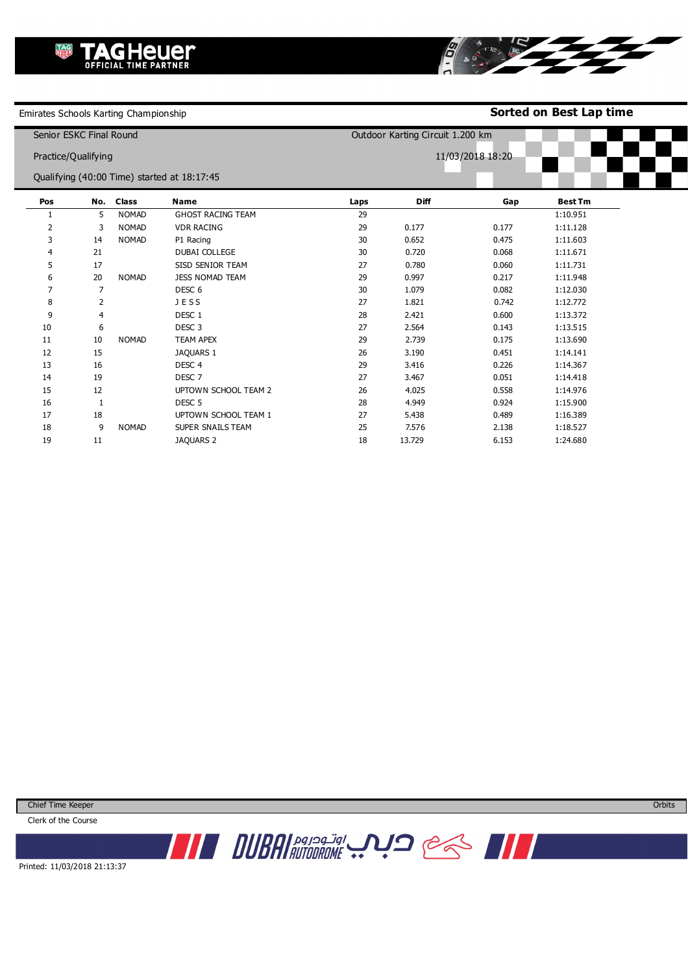Emirates Schools Karting Championship

**Sorted on Best Lap time**

BI STRATES

| Senior ESKC Final Round                     |                |              |                          |                  | Outdoor Karting Circuit 1.200 km |       |                |  |  |
|---------------------------------------------|----------------|--------------|--------------------------|------------------|----------------------------------|-------|----------------|--|--|
| Practice/Qualifying                         |                |              |                          | 11/03/2018 18:20 |                                  |       |                |  |  |
| Qualifying (40:00 Time) started at 18:17:45 |                |              |                          |                  |                                  |       |                |  |  |
| Pos                                         | No.            | <b>Class</b> | <b>Name</b>              | Laps             | <b>Diff</b>                      | Gap   | <b>Best Tm</b> |  |  |
|                                             | 5              | <b>NOMAD</b> | <b>GHOST RACING TEAM</b> | 29               |                                  |       | 1:10.951       |  |  |
| 2                                           | 3              | <b>NOMAD</b> | <b>VDR RACING</b>        | 29               | 0.177                            | 0.177 | 1:11.128       |  |  |
| 3                                           | 14             | <b>NOMAD</b> | P1 Racing                | 30               | 0.652                            | 0.475 | 1:11.603       |  |  |
| 4                                           | 21             |              | DUBAI COLLEGE            | 30               | 0.720                            | 0.068 | 1:11.671       |  |  |
| 5                                           | 17             |              | SISD SENIOR TEAM         | 27               | 0.780                            | 0.060 | 1:11.731       |  |  |
| 6                                           | 20             | <b>NOMAD</b> | JESS NOMAD TEAM          | 29               | 0.997                            | 0.217 | 1:11.948       |  |  |
| $\overline{7}$                              | 7              |              | DESC <sub>6</sub>        | 30               | 1.079                            | 0.082 | 1:12.030       |  |  |
| 8                                           | 2              |              | JESS                     | 27               | 1.821                            | 0.742 | 1:12.772       |  |  |
| 9                                           | $\overline{4}$ |              | DESC <sub>1</sub>        | 28               | 2.421                            | 0.600 | 1:13.372       |  |  |
| 10                                          | 6              |              | DESC <sub>3</sub>        | 27               | 2.564                            | 0.143 | 1:13.515       |  |  |
| 11                                          | 10             | <b>NOMAD</b> | <b>TEAM APEX</b>         | 29               | 2.739                            | 0.175 | 1:13.690       |  |  |
| 12                                          | 15             |              | JAQUARS 1                | 26               | 3.190                            | 0.451 | 1:14.141       |  |  |
| 13                                          | 16             |              | DESC <sub>4</sub>        | 29               | 3.416                            | 0.226 | 1:14.367       |  |  |
| 14                                          | 19             |              | DESC <sub>7</sub>        | 27               | 3.467                            | 0.051 | 1:14.418       |  |  |
| 15                                          | 12             |              | UPTOWN SCHOOL TEAM 2     | 26               | 4.025                            | 0.558 | 1:14.976       |  |  |
| 16                                          | $\mathbf{1}$   |              | DESC <sub>5</sub>        | 28               | 4.949                            | 0.924 | 1:15.900       |  |  |
| 17                                          | 18             |              | UPTOWN SCHOOL TEAM 1     | 27               | 5.438                            | 0.489 | 1:16.389       |  |  |
| 18                                          | 9              | <b>NOMAD</b> | SUPER SNAILS TEAM        | 25               | 7.576                            | 2.138 | 1:18.527       |  |  |
| 19                                          | 11             |              | <b>JAQUARS 2</b>         | 18               | 13.729                           | 6.153 | 1:24.680       |  |  |

Chief Time Keeper

Clerk of the Course



Printed: 11/03/2018 21:13:37

**Orbits** 

www.mylaps.com